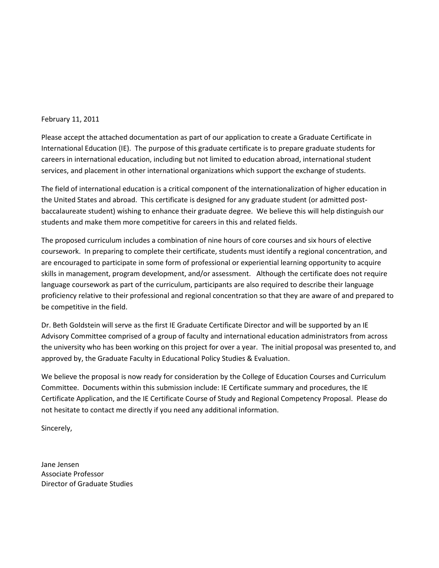#### February 11, 2011

Please accept the attached documentation as part of our application to create a Graduate Certificate in International Education (IE). The purpose of this graduate certificate is to prepare graduate students for careers in international education, including but not limited to education abroad, international student services, and placement in other international organizations which support the exchange of students.

The field of international education is a critical component of the internationalization of higher education in the United States and abroad. This certificate is designed for any graduate student (or admitted postbaccalaureate student) wishing to enhance their graduate degree. We believe this will help distinguish our students and make them more competitive for careers in this and related fields.

The proposed curriculum includes a combination of nine hours of core courses and six hours of elective coursework. In preparing to complete their certificate, students must identify a regional concentration, and are encouraged to participate in some form of professional or experiential learning opportunity to acquire skills in management, program development, and/or assessment. Although the certificate does not require language coursework as part of the curriculum, participants are also required to describe their language proficiency relative to their professional and regional concentration so that they are aware of and prepared to be competitive in the field.

Dr. Beth Goldstein will serve as the first IE Graduate Certificate Director and will be supported by an IE Advisory Committee comprised of a group of faculty and international education administrators from across the university who has been working on this project for over a year. The initial proposal was presented to, and approved by, the Graduate Faculty in Educational Policy Studies & Evaluation.

We believe the proposal is now ready for consideration by the College of Education Courses and Curriculum Committee. Documents within this submission include: IE Certificate summary and procedures, the IE Certificate Application, and the IE Certificate Course of Study and Regional Competency Proposal. Please do not hesitate to contact me directly if you need any additional information.

Sincerely,

Jane Jensen Associate Professor Director of Graduate Studies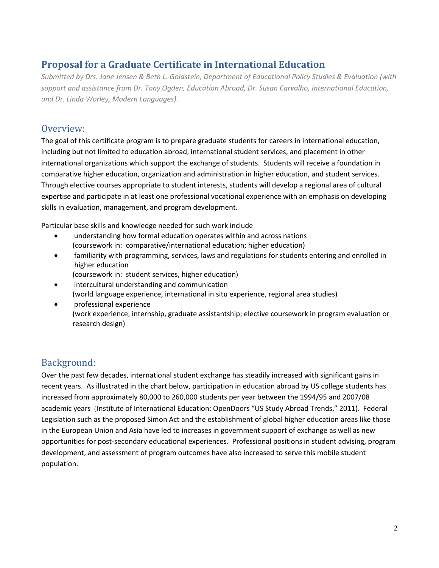## **Proposal for a Graduate Certificate in International Education**

*Submitted by Drs. Jane Jensen & Beth L. Goldstein, Department of Educational Policy Studies & Evaluation (with support and assistance from Dr. Tony Ogden, Education Abroad, Dr. Susan Carvalho, International Education, and Dr. Linda Worley, Modern Languages).*

### Overview:

The goal of this certificate program is to prepare graduate students for careers in international education, including but not limited to education abroad, international student services, and placement in other international organizations which support the exchange of students. Students will receive a foundation in comparative higher education, organization and administration in higher education, and student services. Through elective courses appropriate to student interests, students will develop a regional area of cultural expertise and participate in at least one professional vocational experience with an emphasis on developing skills in evaluation, management, and program development.

Particular base skills and knowledge needed for such work include

- understanding how formal education operates within and across nations (coursework in: comparative/international education; higher education)
- familiarity with programming, services, laws and regulations for students entering and enrolled in higher education
	- (coursework in: student services, higher education)
- intercultural understanding and communication (world language experience, international in situ experience, regional area studies)
- professional experience (work experience, internship, graduate assistantship; elective coursework in program evaluation or research design)

## Background:

Over the past few decades, international student exchange has steadily increased with significant gains in recent years. As illustrated in the chart below, participation in education abroad by US college students has increased from approximately 80,000 to 260,000 students per year between the 1994/95 and 2007/08 academic years (Institute of International Education: OpenDoors "US Study Abroad Trends," 2011). Federal Legislation such as the proposed Simon Act and the establishment of global higher education areas like those in the European Union and Asia have led to increases in government support of exchange as well as new opportunities for post-secondary educational experiences. Professional positions in student advising, program development, and assessment of program outcomes have also increased to serve this mobile student population.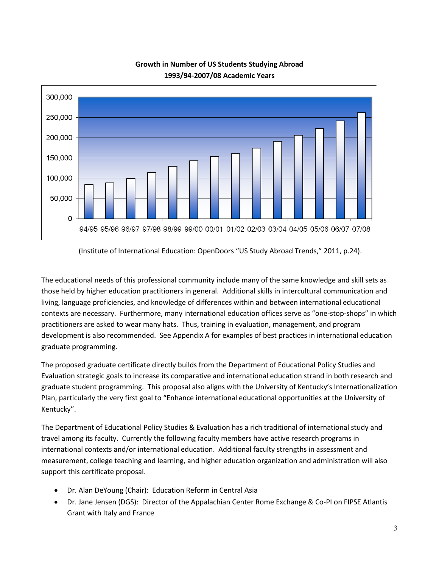

### **Growth in Number of US Students Studying Abroad 1993/94-2007/08 Academic Years**

(Institute of International Education: OpenDoors "US Study Abroad Trends," 2011, p.24).

The educational needs of this professional community include many of the same knowledge and skill sets as those held by higher education practitioners in general. Additional skills in intercultural communication and living, language proficiencies, and knowledge of differences within and between international educational contexts are necessary. Furthermore, many international education offices serve as "one-stop-shops" in which practitioners are asked to wear many hats. Thus, training in evaluation, management, and program development is also recommended. See Appendix A for examples of best practices in international education graduate programming.

The proposed graduate certificate directly builds from the Department of Educational Policy Studies and Evaluation strategic goals to increase its comparative and international education strand in both research and graduate student programming. This proposal also aligns with the University of Kentucky's Internationalization Plan, particularly the very first goal to "Enhance international educational opportunities at the University of Kentucky".

The Department of Educational Policy Studies & Evaluation has a rich traditional of international study and travel among its faculty. Currently the following faculty members have active research programs in international contexts and/or international education. Additional faculty strengths in assessment and measurement, college teaching and learning, and higher education organization and administration will also support this certificate proposal.

- Dr. Alan DeYoung (Chair): Education Reform in Central Asia
- Dr. Jane Jensen (DGS): Director of the Appalachian Center Rome Exchange & Co-PI on FIPSE Atlantis Grant with Italy and France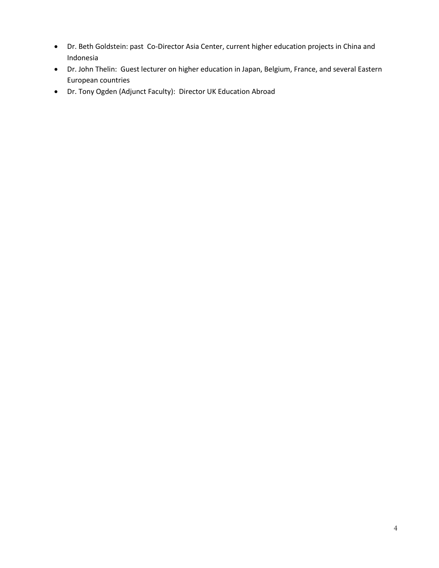- Dr. Beth Goldstein: past Co-Director Asia Center, current higher education projects in China and Indonesia
- Dr. John Thelin: Guest lecturer on higher education in Japan, Belgium, France, and several Eastern European countries
- Dr. Tony Ogden (Adjunct Faculty): Director UK Education Abroad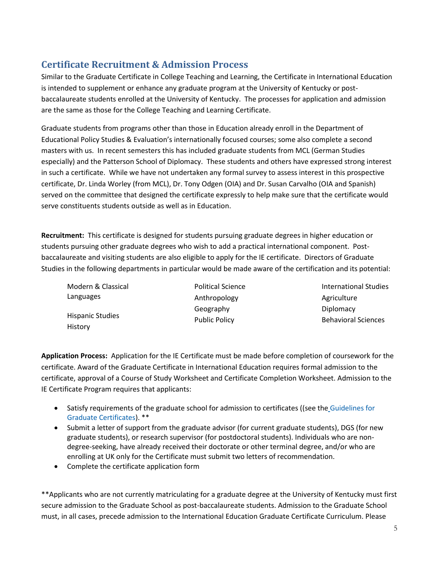# **Certificate Recruitment & Admission Process**

Similar to the Graduate Certificate in College Teaching and Learning, the Certificate in International Education is intended to supplement or enhance any graduate program at the University of Kentucky or postbaccalaureate students enrolled at the University of Kentucky. The processes for application and admission are the same as those for the College Teaching and Learning Certificate.

Graduate students from programs other than those in Education already enroll in the Department of Educational Policy Studies & Evaluation's internationally focused courses; some also complete a second masters with us. In recent semesters this has included graduate students from MCL (German Studies especially) and the Patterson School of Diplomacy. These students and others have expressed strong interest in such a certificate. While we have not undertaken any formal survey to assess interest in this prospective certificate, Dr. Linda Worley (from MCL), Dr. Tony Odgen (OIA) and Dr. Susan Carvalho (OIA and Spanish) served on the committee that designed the certificate expressly to help make sure that the certificate would serve constituents students outside as well as in Education.

**Recruitment:** This certificate is designed for students pursuing graduate degrees in higher education or students pursuing other graduate degrees who wish to add a practical international component. Postbaccalaureate and visiting students are also eligible to apply for the IE certificate. Directors of Graduate Studies in the following departments in particular would be made aware of the certification and its potential:

| Modern & Classical      | <b>Political Science</b> | International Studies      |
|-------------------------|--------------------------|----------------------------|
| Languages               | Anthropology             | Agriculture                |
| <b>Hispanic Studies</b> | Geography                | Diplomacy                  |
|                         | <b>Public Policy</b>     | <b>Behavioral Sciences</b> |
| History                 |                          |                            |

**Application Process:** Application for the IE Certificate must be made before completion of coursework for the certificate. Award of the Graduate Certificate in International Education requires formal admission to the certificate, approval of a Course of Study Worksheet and Certificate Completion Worksheet. Admission to the IE Certificate Program requires that applicants:

- Satisfy requirements of the graduate school for admission to certificates ((see the [Guidelines for](http://www.research.uky.edu/gs/CurrentStudents/certguidelines.html)  [Graduate Certificates\)](http://www.research.uky.edu/gs/CurrentStudents/certguidelines.html). \*\*
- Submit a letter of support from the graduate advisor (for current graduate students), DGS (for new graduate students), or research supervisor (for postdoctoral students). Individuals who are nondegree-seeking, have already received their doctorate or other terminal degree, and/or who are enrolling at UK only for the Certificate must submit two letters of recommendation.
- Complete the certificate application form

\*\*Applicants who are not currently matriculating for a graduate degree at the University of Kentucky must first secure admission to the Graduate School as post-baccalaureate students. Admission to the Graduate School must, in all cases, precede admission to the International Education Graduate Certificate Curriculum. Please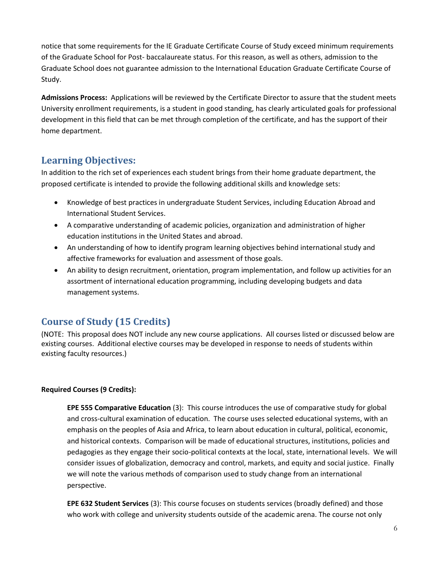notice that some requirements for the IE Graduate Certificate Course of Study exceed minimum requirements of the Graduate School for Post- baccalaureate status. For this reason, as well as others, admission to the Graduate School does not guarantee admission to the International Education Graduate Certificate Course of Study.

**Admissions Process:** Applications will be reviewed by the Certificate Director to assure that the student meets University enrollment requirements, is a student in good standing, has clearly articulated goals for professional development in this field that can be met through completion of the certificate, and has the support of their home department.

## **Learning Objectives:**

In addition to the rich set of experiences each student brings from their home graduate department, the proposed certificate is intended to provide the following additional skills and knowledge sets:

- Knowledge of best practices in undergraduate Student Services, including Education Abroad and International Student Services.
- A comparative understanding of academic policies, organization and administration of higher education institutions in the United States and abroad.
- An understanding of how to identify program learning objectives behind international study and affective frameworks for evaluation and assessment of those goals.
- An ability to design recruitment, orientation, program implementation, and follow up activities for an assortment of international education programming, including developing budgets and data management systems.

## **Course of Study (15 Credits)**

(NOTE: This proposal does NOT include any new course applications. All courses listed or discussed below are existing courses. Additional elective courses may be developed in response to needs of students within existing faculty resources.)

### **Required Courses (9 Credits):**

**EPE 555 Comparative Education** (3): This course introduces the use of comparative study for global and cross-cultural examination of education. The course uses selected educational systems, with an emphasis on the peoples of Asia and Africa, to learn about education in cultural, political, economic, and historical contexts. Comparison will be made of educational structures, institutions, policies and pedagogies as they engage their socio-political contexts at the local, state, international levels. We will consider issues of globalization, democracy and control, markets, and equity and social justice. Finally we will note the various methods of comparison used to study change from an international perspective.

**EPE 632 Student Services** (3): This course focuses on students services (broadly defined) and those who work with college and university students outside of the academic arena. The course not only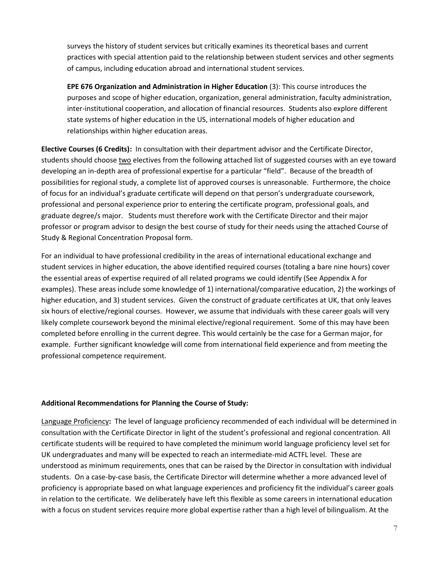surveys the history of student services but critically examines its theoretical bases and current practices with special attention paid to the relationship between student services and other segments of campus, including education abroad and international student services.

**EPE 676 Organization and Administration in Higher Education** (3): This course introduces the purposes and scope of higher education, organization, general administration, faculty administration, inter-institutional cooperation, and allocation of financial resources. Students also explore different state systems of higher education in the US, international models of higher education and relationships within higher education areas.

**Elective Courses (6 Credits):** In consultation with their department advisor and the Certificate Director, students should choose two electives from the following attached list of suggested courses with an eye toward developing an in-depth area of professional expertise for a particular "field". Because of the breadth of possibilities for regional study, a complete list of approved courses is unreasonable. Furthermore, the choice of focus for an individual's graduate certificate will depend on that person's undergraduate coursework, professional and personal experience prior to entering the certificate program, professional goals, and graduate degree/s major. Students must therefore work with the Certificate Director and their major professor or program advisor to design the best course of study for their needs using the attached Course of Study & Regional Concentration Proposal form.

For an individual to have professional credibility in the areas of international educational exchange and student services in higher education, the above identified required courses (totaling a bare nine hours) cover the essential areas of expertise required of all related programs we could identify (See Appendix A for examples). These areas include some knowledge of 1) international/comparative education, 2) the workings of higher education, and 3) student services. Given the construct of graduate certificates at UK, that only leaves six hours of elective/regional courses. However, we assume that individuals with these career goals will very likely complete coursework beyond the minimal elective/regional requirement. Some of this may have been completed before enrolling in the current degree. This would certainly be the case for a German major, for example. Further significant knowledge will come from international field experience and from meeting the professional competence requirement.

#### **Additional Recommendations for Planning the Course of Study:**

Language Proficiency**:** The level of language proficiency recommended of each individual will be determined in consultation with the Certificate Director in light of the student's professional and regional concentration. All certificate students will be required to have completed the minimum world language proficiency level set for UK undergraduates and many will be expected to reach an intermediate-mid ACTFL level. These are understood as minimum requirements, ones that can be raised by the Director in consultation with individual students. On a case-by-case basis, the Certificate Director will determine whether a more advanced level of proficiency is appropriate based on what language experiences and proficiency fit the individual's career goals in relation to the certificate. We deliberately have left this flexible as some careers in international education with a focus on student services require more global expertise rather than a high level of bilingualism. At the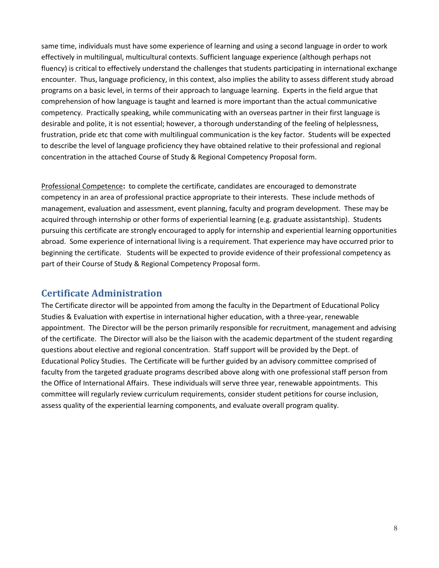same time, individuals must have some experience of learning and using a second language in order to work effectively in multilingual, multicultural contexts. Sufficient language experience (although perhaps not fluency) is critical to effectively understand the challenges that students participating in international exchange encounter. Thus, language proficiency, in this context, also implies the ability to assess different study abroad programs on a basic level, in terms of their approach to language learning. Experts in the field argue that comprehension of how language is taught and learned is more important than the actual communicative competency. Practically speaking, while communicating with an overseas partner in their first language is desirable and polite, it is not essential; however, a thorough understanding of the feeling of helplessness, frustration, pride etc that come with multilingual communication is the key factor. Students will be expected to describe the level of language proficiency they have obtained relative to their professional and regional concentration in the attached Course of Study & Regional Competency Proposal form.

Professional Competence**:** to complete the certificate, candidates are encouraged to demonstrate competency in an area of professional practice appropriate to their interests. These include methods of management, evaluation and assessment, event planning, faculty and program development. These may be acquired through internship or other forms of experiential learning (e.g. graduate assistantship). Students pursuing this certificate are strongly encouraged to apply for internship and experiential learning opportunities abroad. Some experience of international living is a requirement. That experience may have occurred prior to beginning the certificate. Students will be expected to provide evidence of their professional competency as part of their Course of Study & Regional Competency Proposal form.

## **Certificate Administration**

The Certificate director will be appointed from among the faculty in the Department of Educational Policy Studies & Evaluation with expertise in international higher education, with a three-year, renewable appointment. The Director will be the person primarily responsible for recruitment, management and advising of the certificate. The Director will also be the liaison with the academic department of the student regarding questions about elective and regional concentration. Staff support will be provided by the Dept. of Educational Policy Studies. The Certificate will be further guided by an advisory committee comprised of faculty from the targeted graduate programs described above along with one professional staff person from the Office of International Affairs. These individuals will serve three year, renewable appointments. This committee will regularly review curriculum requirements, consider student petitions for course inclusion, assess quality of the experiential learning components, and evaluate overall program quality.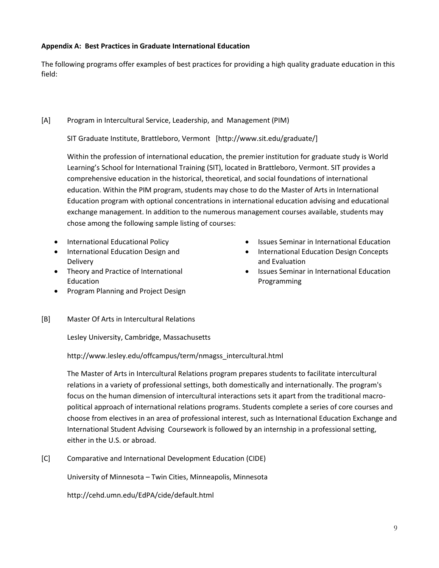### **Appendix A: Best Practices in Graduate International Education**

The following programs offer examples of best practices for providing a high quality graduate education in this field:

### [A] Program in Intercultural Service, Leadership, and Management (PIM)

SIT Graduate Institute, Brattleboro, Vermont [http://www.sit.edu/graduate/]

Within the profession of international education, the premier institution for graduate study is World Learning's School for International Training (SIT), located in Brattleboro, Vermont. SIT provides a comprehensive education in the historical, theoretical, and social foundations of international education. Within the PIM program, students may chose to do the Master of Arts in International Education program with optional concentrations in international education advising and educational exchange management. In addition to the numerous management courses available, students may chose among the following sample listing of courses:

- International Educational Policy
- International Education Design and **Delivery**
- Theory and Practice of International Education
- Program Planning and Project Design
- [B] Master Of Arts in Intercultural Relations

Lesley University, Cambridge, Massachusetts

http://www.lesley.edu/offcampus/term/nmagss\_intercultural.html

The Master of Arts in Intercultural Relations program prepares students to facilitate intercultural relations in a variety of professional settings, both domestically and internationally. The program's focus on the human dimension of intercultural interactions sets it apart from the traditional macropolitical approach of international relations programs. Students complete a series of core courses and choose from electives in an area of professional interest, such as International Education Exchange and International Student Advising Coursework is followed by an internship in a professional setting, either in the U.S. or abroad.

[C] Comparative and International Development Education (CIDE)

University of Minnesota – Twin Cities, Minneapolis, Minnesota

<http://cehd.umn.edu/EdPA/cide/default.html>

- Issues Seminar in International Education
- International Education Design Concepts and Evaluation
- Issues Seminar in International Education Programming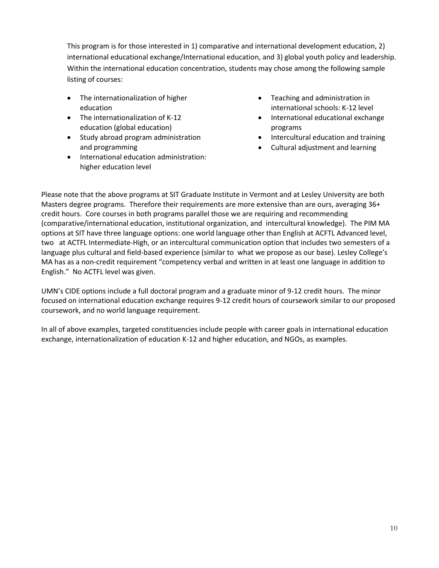This program is for those interested in 1) comparative and international development education, 2) international educational exchange/International education, and 3) global youth policy and leadership. Within the international education concentration, students may chose among the following sample listing of courses:

- The internationalization of higher education
- The internationalization of K-12 education (global education)
- Study abroad program administration and programming
- $\bullet$  International education administration: higher education level
- Teaching and administration in international schools: K-12 level
- International educational exchange programs
- Intercultural education and training
- Cultural adjustment and learning

Please note that the above programs at SIT Graduate Institute in Vermont and at Lesley University are both Masters degree programs. Therefore their requirements are more extensive than are ours, averaging 36+ credit hours. Core courses in both programs parallel those we are requiring and recommending (comparative/international education, institutional organization, and intercultural knowledge). The PIM MA options at SIT have three language options: one world language other than English at ACFTL Advanced level, two at ACTFL Intermediate-High, or an intercultural communication option that includes two semesters of a language plus cultural and field-based experience (similar to what we propose as our base). Lesley College's MA has as a non-credit requirement "competency verbal and written in at least one language in addition to English." No ACTFL level was given.

UMN's CIDE options include a full doctoral program and a graduate minor of 9-12 credit hours. The minor focused on international education exchange requires 9-12 credit hours of coursework similar to our proposed coursework, and no world language requirement.

In all of above examples, targeted constituencies include people with career goals in international education exchange, internationalization of education K-12 and higher education, and NGOs, as examples.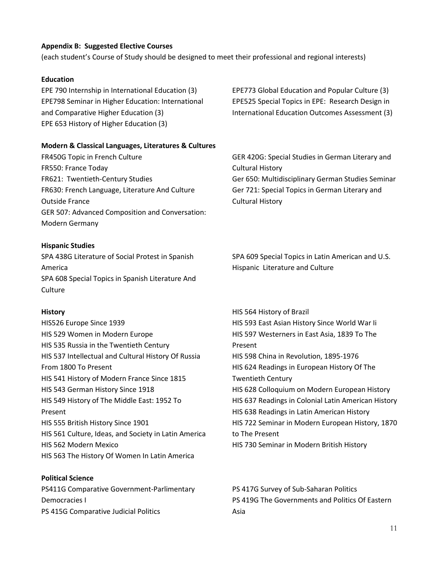### **Appendix B: Suggested Elective Courses**

(each student's Course of Study should be designed to meet their professional and regional interests)

### **Education**

EPE 790 Internship in International Education (3) EPE798 Seminar in Higher Education: International and Comparative Higher Education (3) EPE 653 History of Higher Education (3)

**Modern & Classical Languages, Literatures & Cultures**

FR450G Topic in French Culture FR550: France Today FR621: Twentieth‐Century Studies FR630: French Language, Literature And Culture Outside France GER 507: Advanced Composition and Conversation: Modern Germany

### **Hispanic Studies**

SPA 438G Literature of Social Protest in Spanish America SPA 608 Special Topics in Spanish Literature And **Culture** 

### **History**

HIS526 Europe Since 1939 HIS 529 Women in Modern Europe HIS 535 Russia in the Twentieth Century HIS 537 Intellectual and Cultural History Of Russia From 1800 To Present HIS 541 History of Modern France Since 1815 HIS 543 German History Since 1918 HIS 549 History of The Middle East: 1952 To Present HIS 555 British History Since 1901 HIS 561 Culture, Ideas, and Society in Latin America HIS 562 Modern Mexico HIS 563 The History Of Women In Latin America

**Political Science** PS411G Comparative Government‐Parlimentary Democracies I PS 415G Comparative Judicial Politics

EPE773 Global Education and Popular Culture (3) EPE525 Special Topics in EPE: Research Design in International Education Outcomes Assessment (3)

GER 420G: Special Studies in German Literary and Cultural History Ger 650: Multidisciplinary German Studies Seminar Ger 721: Special Topics in German Literary and Cultural History

SPA 609 Special Topics in Latin American and U.S. Hispanic Literature and Culture

HIS 564 History of Brazil HIS 593 East Asian History Since World War Ii HIS 597 Westerners in East Asia, 1839 To The Present HIS 598 China in Revolution, 1895‐1976 HIS 624 Readings in European History Of The Twentieth Century HIS 628 Colloquium on Modern European History HIS 637 Readings in Colonial Latin American History HIS 638 Readings in Latin American History HIS 722 Seminar in Modern European History, 1870 to The Present HIS 730 Seminar in Modern British History

PS 417G Survey of Sub‐Saharan Politics PS 419G The Governments and Politics Of Eastern Asia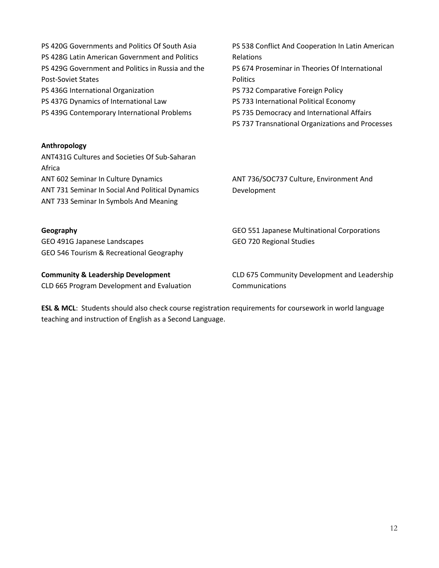| PS 420G Governments and Politics Of South Asia<br>PS 428G Latin American Government and Politics<br>PS 429G Government and Politics in Russia and the<br><b>Post-Soviet States</b><br>PS 436G International Organization<br>PS 437G Dynamics of International Law<br>PS 439G Contemporary International Problems | PS 538 Conflict And Cooperation In Latin American<br>Relations<br>PS 674 Proseminar in Theories Of International<br><b>Politics</b><br>PS 732 Comparative Foreign Policy<br>PS 733 International Political Economy<br>PS 735 Democracy and International Affairs<br>PS 737 Transnational Organizations and Processes |
|------------------------------------------------------------------------------------------------------------------------------------------------------------------------------------------------------------------------------------------------------------------------------------------------------------------|----------------------------------------------------------------------------------------------------------------------------------------------------------------------------------------------------------------------------------------------------------------------------------------------------------------------|
| Anthropology<br>ANT431G Cultures and Societies Of Sub-Saharan<br>Africa                                                                                                                                                                                                                                          |                                                                                                                                                                                                                                                                                                                      |
| ANT 602 Seminar In Culture Dynamics                                                                                                                                                                                                                                                                              | ANT 736/SOC737 Culture, Environment And                                                                                                                                                                                                                                                                              |
| ANT 731 Seminar In Social And Political Dynamics<br>ANT 733 Seminar In Symbols And Meaning                                                                                                                                                                                                                       | Development                                                                                                                                                                                                                                                                                                          |
| Geography                                                                                                                                                                                                                                                                                                        | GEO 551 Japanese Multinational Corporations                                                                                                                                                                                                                                                                          |
| GEO 491G Japanese Landscapes                                                                                                                                                                                                                                                                                     | GEO 720 Regional Studies                                                                                                                                                                                                                                                                                             |
| GEO 546 Tourism & Recreational Geography                                                                                                                                                                                                                                                                         |                                                                                                                                                                                                                                                                                                                      |
| <b>Community &amp; Leadership Development</b>                                                                                                                                                                                                                                                                    | CLD 675 Community Development and Leadership                                                                                                                                                                                                                                                                         |
| CLD 665 Program Development and Evaluation                                                                                                                                                                                                                                                                       | Communications                                                                                                                                                                                                                                                                                                       |

**ESL & MCL**: Students should also check course registration requirements for coursework in world language teaching and instruction of English as a Second Language.